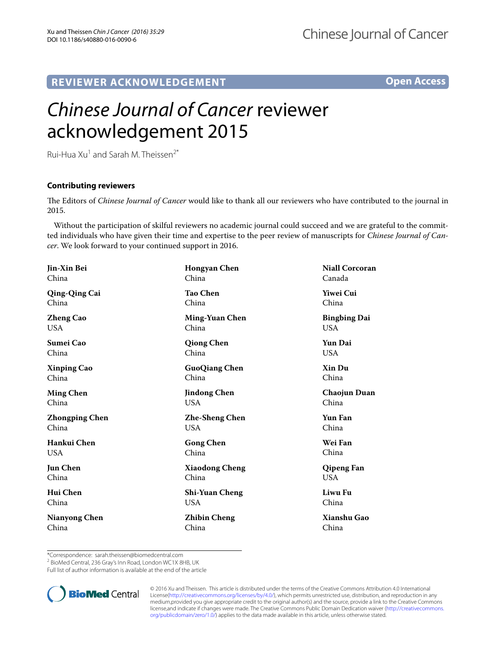## **REVIEWER ACKNOWLEDGEMENT**

**Open Access**

# *Chinese Journal of Cancer* reviewer acknowledgement 2015

Rui-Hua Xu<sup>1</sup> and Sarah M. Theissen<sup>2\*</sup>

#### **Contributing reviewers**

The Editors of *Chinese Journal of Cancer* would like to thank all our reviewers who have contributed to the journal in 2015.

Without the participation of skilful reviewers no academic journal could succeed and we are grateful to the committed individuals who have given their time and expertise to the peer review of manuscripts for *Chinese Journal of Cancer*. We look forward to your continued support in 2016.

| Jin-Xin Bei           | <b>Hongyan Chen</b>   | <b>Niall Corcoran</b> |
|-----------------------|-----------------------|-----------------------|
| China                 | China                 | Canada                |
| Qing-Qing Cai         | <b>Tao Chen</b>       | <b>Yiwei Cui</b>      |
| China                 | China                 | China                 |
| <b>Zheng Cao</b>      | <b>Ming-Yuan Chen</b> | <b>Bingbing Dai</b>   |
| <b>USA</b>            | China                 | <b>USA</b>            |
| Sumei Cao             | <b>Qiong Chen</b>     | <b>Yun Dai</b>        |
| China                 | China                 | <b>USA</b>            |
| <b>Xinping Cao</b>    | <b>GuoQiang Chen</b>  | Xin Du                |
| China                 | China                 | China                 |
| <b>Ming Chen</b>      | <b>Jindong Chen</b>   | <b>Chaojun Duan</b>   |
| China                 | <b>USA</b>            | China                 |
| <b>Zhongping Chen</b> | <b>Zhe-Sheng Chen</b> | Yun Fan               |
| China                 | <b>USA</b>            | China                 |
| Hankui Chen           | <b>Gong Chen</b>      | Wei Fan               |
| USA.                  | China                 | China                 |
| <b>Jun Chen</b>       | <b>Xiaodong Cheng</b> | <b>Qipeng Fan</b>     |
| China                 | China                 | <b>USA</b>            |
| Hui Chen              | <b>Shi-Yuan Cheng</b> | Liwu Fu               |
| China                 | <b>USA</b>            | China                 |
| <b>Nianyong Chen</b>  | <b>Zhibin Cheng</b>   | Xianshu Gao           |
| China                 | China                 | China                 |

\*Correspondence: sarah.theissen@biomedcentral.com

<sup>2</sup> BioMed Central, 236 Gray's Inn Road, London WC1X 8HB, UK

Full list of author information is available at the end of the article



© 2016 Xu and Theissen. This article is distributed under the terms of the Creative Commons Attribution 4.0 International License[\(http://creativecommons.org/licenses/by/4.0/\)](http://creativecommons.org/licenses/by/4.0/), which permits unrestricted use, distribution, and reproduction in any medium,provided you give appropriate credit to the original author(s) and the source, provide a link to the Creative Commons license,and indicate if changes were made. The Creative Commons Public Domain Dedication waiver [\(http://creativecommons.](http://creativecommons.org/publicdomain/zero/1.0/) [org/publicdomain/zero/1.0/](http://creativecommons.org/publicdomain/zero/1.0/)) applies to the data made available in this article, unless otherwise stated.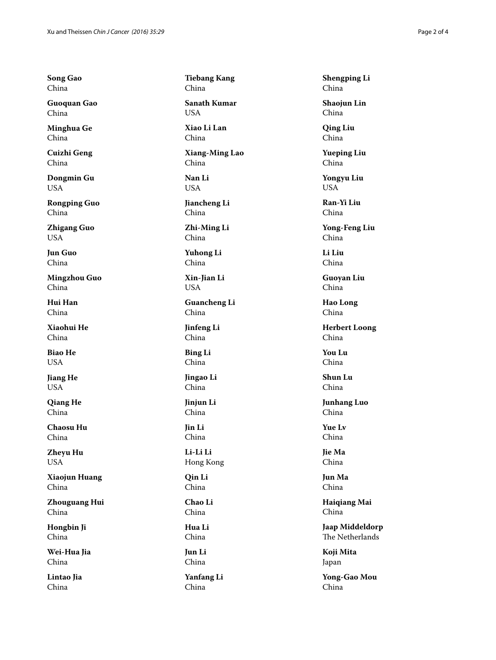**Song Gao** China

**Guoquan Gao** China

**Minghua Ge** China

**Cuizhi Geng** China

**Dongmin Gu** USA

**Rongping Guo** China

**Zhigang Guo** USA

**Jun Guo** China

**Mingzhou Guo** China

**Hui Han** China

**Xiaohui He** China

**Biao He** USA

**Jiang He** USA

**Qiang He** China

**Chaosu Hu** China

**Zheyu Hu** USA

**Xiaojun Huang** China

**Zhouguang Hui** China

**Hongbin Ji** China

**Wei-Hua Jia** China

**Lintao Jia** China

**Tiebang Kang** China

**Sanath Kumar USA** 

**Xiao Li Lan** China

**Xiang-Ming Lao** China

**Nan Li** USA

**Jiancheng Li** China

**Zhi-Ming Li** China

**Yuhong Li** China

**Xin-Jian Li** USA

**Guancheng Li** China

**Jinfeng Li** China

**Bing Li** China

**Jingao Li** China

**Jinjun Li** China

**Jin Li** China

**Li-Li Li** Hong Kong

**Qin Li** China

**Chao Li** China

**Hua Li** China

**Jun Li** China

**Yanfang Li** China

**Shengping Li** China

**Shaojun Lin** China

**Qing Liu** China

**Yueping Liu** China

**Yongyu Liu** USA

**Ran-Yi Liu** China

**Yong-Feng Liu** China

**Li Liu** China

**Guoyan Liu** China

**Hao Long** China

**Herbert Loong** China

**You Lu** China

**Shun Lu** China

**Junhang Luo** China

**Yue Lv** China

**Jie Ma** China

**Jun Ma** China

**Haiqiang Mai** China

**Jaap Middeldorp** The Netherlands

**Koji Mita** Japan

**Yong-Gao Mou** China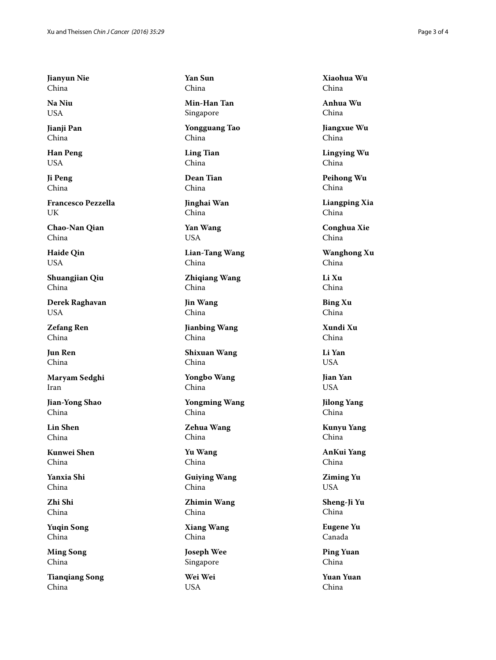**Jianyun Nie** China

**Na Niu** USA

**Jianji Pan** China

**Han Peng** USA

**Ji Peng** China

**Francesco Pezzella** UK

**Chao-Nan Qian** China

**Haide Qin** USA

**Shuangjian Qiu** China

**Derek Raghavan** USA

**Zefang Ren** China

**Jun Ren** China

**Maryam Sedghi** Iran

**Jian-Yong Shao** China

**Lin Shen** China

**Kunwei Shen** China

**Yanxia Shi** China

**Zhi Shi** China

**Yuqin Song** China

**Ming Song** China

**Tianqiang Song** China

**Yan Sun** China

**Min-Han Tan** Singapore

**Yongguang Tao** China

**Ling Tian** China

**Dean Tian** China

**Jinghai Wan** China

**Yan Wang** USA

**Lian-Tang Wang** China

**Zhiqiang Wang** China

**Jin Wang** China

**Jianbing Wang** China

**Shixuan Wang** China

**Yongbo Wang** China

**Yongming Wang** China

**Zehua Wang** China

**Yu Wang** China

**Guiying Wang** China

**Zhimin Wang** China

**Xiang Wang** China

**Joseph Wee** Singapore

**Wei Wei** USA

**Xiaohua Wu** China

**Anhua Wu** China

**Jiangxue Wu** China

**Lingying Wu** China

**Peihong Wu** China

**Liangping Xia** China

**Conghua Xie** China

**Wanghong Xu** China

**Li Xu** China

**Bing Xu** China

**Xundi Xu** China

**Li Yan** USA

**Jian Yan** USA

**Jilong Yang** China

**Kunyu Yang** China

**AnKui Yang** China

**Ziming Yu** USA

**Sheng-Ji Yu** China

**Eugene Yu** Canada

**Ping Yuan** China

**Yuan Yuan** China